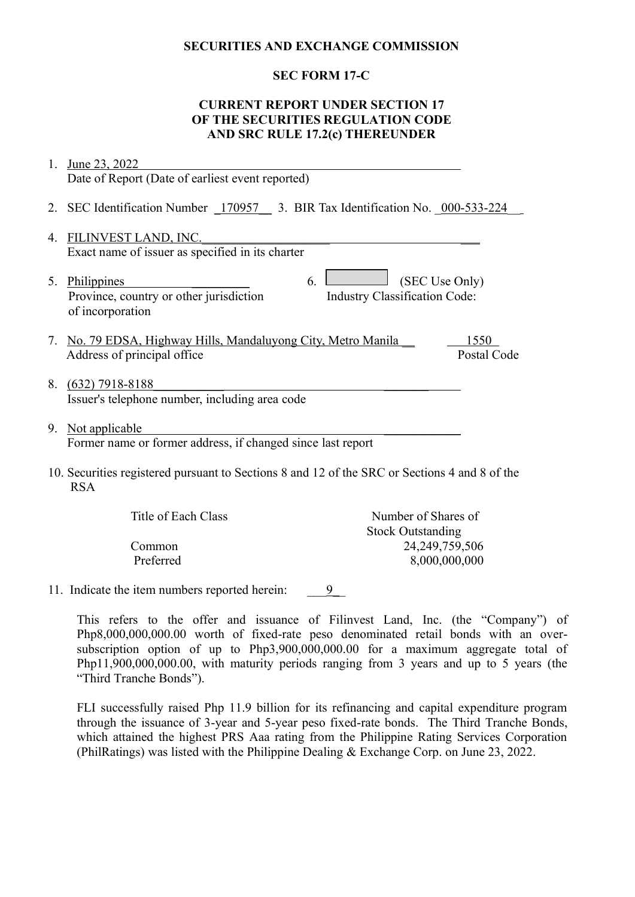## **SECURITIES AND EXCHANGE COMMISSION**

## **SEC FORM 17-C**

## **CURRENT REPORT UNDER SECTION 17 OF THE SECURITIES REGULATION CODE AND SRC RULE 17.2(c) THEREUNDER**

| 1.                                                                                                          | June 23, 2022                                                                                                                                     |  |
|-------------------------------------------------------------------------------------------------------------|---------------------------------------------------------------------------------------------------------------------------------------------------|--|
|                                                                                                             | Date of Report (Date of earliest event reported)                                                                                                  |  |
|                                                                                                             | 2. SEC Identification Number 170957 3. BIR Tax Identification No. 000-533-224                                                                     |  |
| 4.                                                                                                          | FILINVEST LAND, INC.                                                                                                                              |  |
|                                                                                                             | Exact name of issuer as specified in its charter                                                                                                  |  |
| 5.                                                                                                          | (SEC Use Only)<br><b>Philippines</b><br>6.<br>Province, country or other jurisdiction<br><b>Industry Classification Code:</b><br>of incorporation |  |
| 7.                                                                                                          | No. 79 EDSA, Highway Hills, Mandaluyong City, Metro Manila<br>1550<br>Postal Code<br>Address of principal office                                  |  |
| 8.                                                                                                          | $(632)$ 7918-8188<br>Issuer's telephone number, including area code                                                                               |  |
| 9.                                                                                                          | Not applicable<br>Former name or former address, if changed since last report                                                                     |  |
| 10. Securities registered pursuant to Sections 8 and 12 of the SRC or Sections 4 and 8 of the<br><b>RSA</b> |                                                                                                                                                   |  |
|                                                                                                             | Title of Each Class<br>Number of Shares of                                                                                                        |  |

| Title of Each Class | Number of Shares of      |
|---------------------|--------------------------|
|                     | <b>Stock Outstanding</b> |
| Common              | 24, 249, 759, 506        |
| Preferred           | 8,000,000,000            |
|                     |                          |

11. Indicate the item numbers reported herein: 9

This refers to the offer and issuance of Filinvest Land, Inc. (the "Company") of Php8,000,000,000.00 worth of fixed-rate peso denominated retail bonds with an oversubscription option of up to Php3,900,000,000.00 for a maximum aggregate total of Php11,900,000,000.00, with maturity periods ranging from 3 years and up to 5 years (the "Third Tranche Bonds").

FLI successfully raised Php 11.9 billion for its refinancing and capital expenditure program through the issuance of 3-year and 5-year peso fixed-rate bonds. The Third Tranche Bonds, which attained the highest PRS Aaa rating from the Philippine Rating Services Corporation (PhilRatings) was listed with the Philippine Dealing & Exchange Corp. on June 23, 2022.